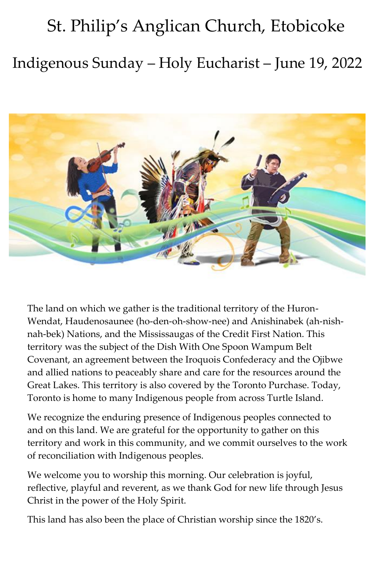# St. Philip's Anglican Church, Etobicoke Indigenous Sunday – Holy Eucharist – June 19, 2022



The land on which we gather is the traditional territory of the Huron-Wendat, Haudenosaunee (ho-den-oh-show-nee) and Anishinabek (ah-nishnah-bek) Nations, and the Mississaugas of the Credit First Nation. This territory was the subject of the Dish With One Spoon Wampum Belt Covenant, an agreement between the Iroquois Confederacy and the Ojibwe and allied nations to peaceably share and care for the resources around the Great Lakes. This territory is also covered by the Toronto Purchase. Today, Toronto is home to many Indigenous people from across Turtle Island.

We recognize the enduring presence of Indigenous peoples connected to and on this land. We are grateful for the opportunity to gather on this territory and work in this community, and we commit ourselves to the work of reconciliation with Indigenous peoples.

We welcome you to worship this morning. Our celebration is joyful, reflective, playful and reverent, as we thank God for new life through Jesus Christ in the power of the Holy Spirit.

This land has also been the place of Christian worship since the 1820's.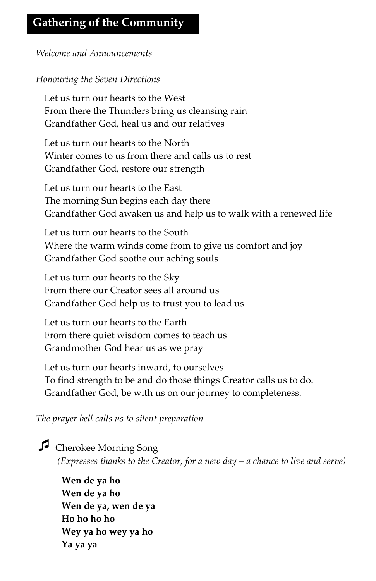## **Gathering of the Community**

*Welcome and Announcements*

#### *Honouring the Seven Directions*

Let us turn our hearts to the West From there the Thunders bring us cleansing rain Grandfather God, heal us and our relatives

Let us turn our hearts to the North Winter comes to us from there and calls us to rest Grandfather God, restore our strength

Let us turn our hearts to the East The morning Sun begins each day there Grandfather God awaken us and help us to walk with a renewed life

Let us turn our hearts to the South Where the warm winds come from to give us comfort and joy Grandfather God soothe our aching souls

Let us turn our hearts to the Sky From there our Creator sees all around us Grandfather God help us to trust you to lead us

Let us turn our hearts to the Earth From there quiet wisdom comes to teach us Grandmother God hear us as we pray

Let us turn our hearts inward, to ourselves To find strength to be and do those things Creator calls us to do. Grandfather God, be with us on our journey to completeness.

*The prayer bell calls us to silent preparation*

Cherokee Morning Song *(Expresses thanks to the Creator, for a new day – a chance to live and serve)*

**Wen de ya ho Wen de ya ho Wen de ya, wen de ya Ho ho ho ho Wey ya ho wey ya ho Ya ya ya**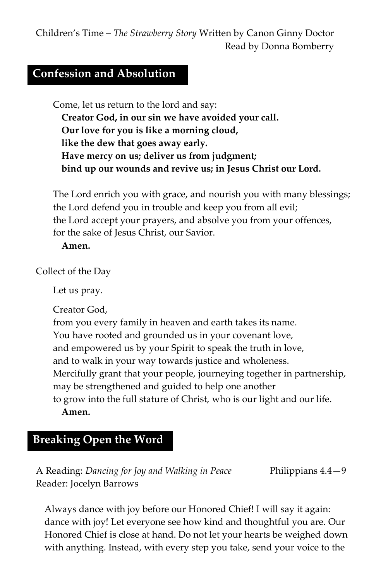Children's Time – *The Strawberry Story* Written by Canon Ginny Doctor Read by Donna Bomberry

## **Confession and Absolution**

Come, let us return to the lord and say: **Creator God, in our sin we have avoided your call. Our love for you is like a morning cloud, like the dew that goes away early. Have mercy on us; deliver us from judgment; bind up our wounds and revive us; in Jesus Christ our Lord.**

The Lord enrich you with grace, and nourish you with many blessings; the Lord defend you in trouble and keep you from all evil; the Lord accept your prayers, and absolve you from your offences, for the sake of Jesus Christ, our Savior.

#### **Amen.**

Collect of the Day

Let us pray.

Creator God,

from you every family in heaven and earth takes its name.

You have rooted and grounded us in your covenant love,

and empowered us by your Spirit to speak the truth in love,

and to walk in your way towards justice and wholeness.

Mercifully grant that your people, journeying together in partnership, may be strengthened and guided to help one another

to grow into the full stature of Christ, who is our light and our life. **Amen.**

## **Breaking Open the Word**

A Reading: *Dancing for Joy and Walking in Peace* Philippians 4.4—9 Reader: Jocelyn Barrows

Always dance with joy before our Honored Chief! I will say it again: dance with joy! Let everyone see how kind and thoughtful you are. Our Honored Chief is close at hand. Do not let your hearts be weighed down with anything. Instead, with every step you take, send your voice to the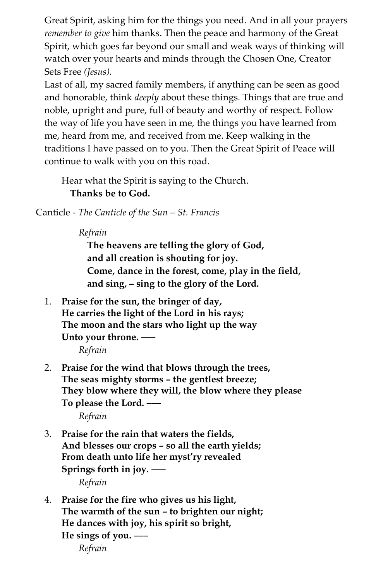Great Spirit, asking him for the things you need. And in all your prayers *remember to give* him thanks. Then the peace and harmony of the Great Spirit, which goes far beyond our small and weak ways of thinking will watch over your hearts and minds through the Chosen One, Creator Sets Free *(Jesus).*

Last of all, my sacred family members, if anything can be seen as good and honorable, think *deeply* about these things. Things that are true and noble, upright and pure, full of beauty and worthy of respect. Follow the way of life you have seen in me, the things you have learned from me, heard from me, and received from me. Keep walking in the traditions I have passed on to you. Then the Great Spirit of Peace will continue to walk with you on this road.

Hear what the Spirit is saying to the Church. **Thanks be to God.**

Canticle - *The Canticle of the Sun – St. Francis*

*Refrain*

**The heavens are telling the glory of God, and all creation is shouting for joy. Come, dance in the forest, come, play in the field, and sing, – sing to the glory of the Lord.**

1. **Praise for the sun, the bringer of day, He carries the light of the Lord in his rays; The moon and the stars who light up the way Unto your throne. –––**

*Refrain*

- 2. **Praise for the wind that blows through the trees, The seas mighty storms – the gentlest breeze; They blow where they will, the blow where they please To please the Lord. –––** *Refrain*
- 3. **Praise for the rain that waters the fields, And blesses our crops – so all the earth yields; From death unto life her myst'ry revealed Springs forth in joy. –––** *Refrain*
- 4. **Praise for the fire who gives us his light, The warmth of the sun – to brighten our night; He dances with joy, his spirit so bright, He sings of you. –––** *Refrain*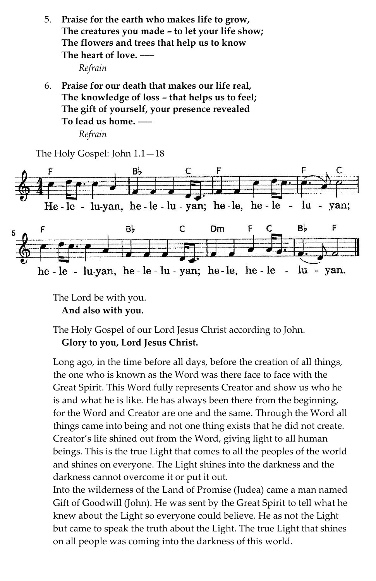5. **Praise for the earth who makes life to grow, The creatures you made – to let your life show; The flowers and trees that help us to know The heart of love. –––**

*Refrain*

6. **Praise for our death that makes our life real, The knowledge of loss – that helps us to feel; The gift of yourself, your presence revealed To lead us home. –––**

*Refrain*

The Holy Gospel: John 1.1—18



The Lord be with you. **And also with you.**

The Holy Gospel of our Lord Jesus Christ according to John. **Glory to you, Lord Jesus Christ.**

Long ago, in the time before all days, before the creation of all things, the one who is known as the Word was there face to face with the Great Spirit. This Word fully represents Creator and show us who he is and what he is like. He has always been there from the beginning, for the Word and Creator are one and the same. Through the Word all things came into being and not one thing exists that he did not create. Creator's life shined out from the Word, giving light to all human beings. This is the true Light that comes to all the peoples of the world and shines on everyone. The Light shines into the darkness and the darkness cannot overcome it or put it out.

Into the wilderness of the Land of Promise (Judea) came a man named Gift of Goodwill (John). He was sent by the Great Spirit to tell what he knew about the Light so everyone could believe. He as not the Light but came to speak the truth about the Light. The true Light that shines on all people was coming into the darkness of this world.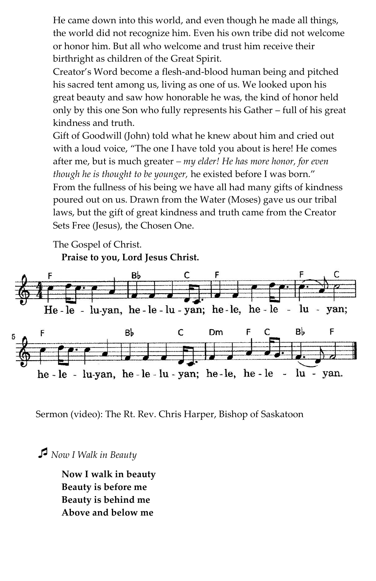He came down into this world, and even though he made all things, the world did not recognize him. Even his own tribe did not welcome or honor him. But all who welcome and trust him receive their birthright as children of the Great Spirit.

Creator's Word become a flesh-and-blood human being and pitched his sacred tent among us, living as one of us. We looked upon his great beauty and saw how honorable he was, the kind of honor held only by this one Son who fully represents his Gather – full of his great kindness and truth.

Gift of Goodwill (John) told what he knew about him and cried out with a loud voice, "The one I have told you about is here! He comes after me, but is much greater *– my elder! He has more honor, for even though he is thought to be younger,* he existed before I was born." From the fullness of his being we have all had many gifts of kindness poured out on us. Drawn from the Water (Moses) gave us our tribal laws, but the gift of great kindness and truth came from the Creator Sets Free (Jesus), the Chosen One.

The Gospel of Christ.

**Praise to you, Lord Jesus Christ.**



Sermon (video): The Rt. Rev. Chris Harper, Bishop of Saskatoon

*Now I Walk in Beauty*

**Now I walk in beauty Beauty is before me Beauty is behind me Above and below me**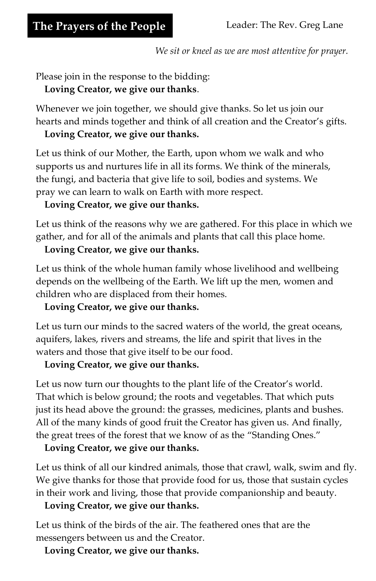*We sit or kneel as we are most attentive for prayer.*

Please join in the response to the bidding:

**Loving Creator, we give our thanks**.

Whenever we join together, we should give thanks. So let us join our hearts and minds together and think of all creation and the Creator's gifts.

#### **Loving Creator, we give our thanks.**

Let us think of our Mother, the Earth, upon whom we walk and who supports us and nurtures life in all its forms. We think of the minerals, the fungi, and bacteria that give life to soil, bodies and systems. We pray we can learn to walk on Earth with more respect.

#### **Loving Creator, we give our thanks.**

Let us think of the reasons why we are gathered. For this place in which we gather, and for all of the animals and plants that call this place home.

#### **Loving Creator, we give our thanks.**

Let us think of the whole human family whose livelihood and wellbeing depends on the wellbeing of the Earth. We lift up the men, women and children who are displaced from their homes.

#### **Loving Creator, we give our thanks.**

Let us turn our minds to the sacred waters of the world, the great oceans, aquifers, lakes, rivers and streams, the life and spirit that lives in the waters and those that give itself to be our food.

#### **Loving Creator, we give our thanks.**

Let us now turn our thoughts to the plant life of the Creator's world. That which is below ground; the roots and vegetables. That which puts just its head above the ground: the grasses, medicines, plants and bushes. All of the many kinds of good fruit the Creator has given us. And finally, the great trees of the forest that we know of as the "Standing Ones."

#### **Loving Creator, we give our thanks.**

Let us think of all our kindred animals, those that crawl, walk, swim and fly. We give thanks for those that provide food for us, those that sustain cycles in their work and living, those that provide companionship and beauty.

#### **Loving Creator, we give our thanks.**

Let us think of the birds of the air. The feathered ones that are the messengers between us and the Creator.

**Loving Creator, we give our thanks.**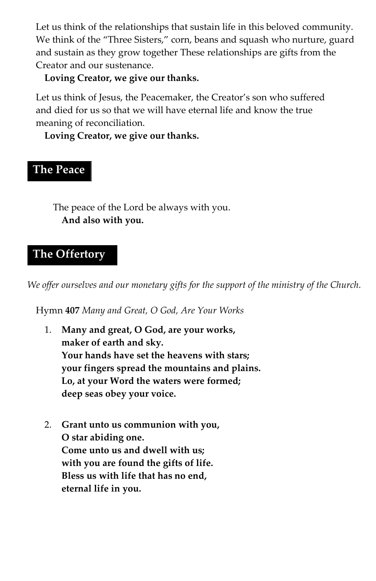Let us think of the relationships that sustain life in this beloved community. We think of the "Three Sisters," corn, beans and squash who nurture, guard and sustain as they grow together These relationships are gifts from the Creator and our sustenance.

#### **Loving Creator, we give our thanks.**

Let us think of Jesus, the Peacemaker, the Creator's son who suffered and died for us so that we will have eternal life and know the true meaning of reconciliation.

**Loving Creator, we give our thanks.**

## **The Peace**

The peace of the Lord be always with you. **And also with you.**

## **The Offertory**

*We offer ourselves and our monetary gifts for the support of the ministry of the Church.*

Hymn **407** *Many and Great, O God, Are Your Works*

- 1. **Many and great, O God, are your works, maker of earth and sky. Your hands have set the heavens with stars; your fingers spread the mountains and plains. Lo, at your Word the waters were formed; deep seas obey your voice.**
- 2. **Grant unto us communion with you, O star abiding one. Come unto us and dwell with us; with you are found the gifts of life. Bless us with life that has no end, eternal life in you.**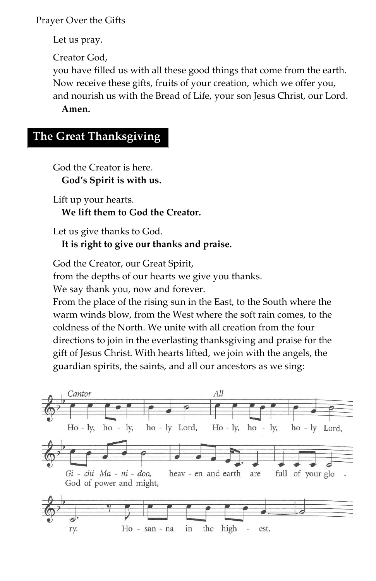Prayer Over the Gifts

Let us pray.

Creator God,

you have filled us with all these good things that come from the earth. Now receive these gifts, fruits of your creation, which we offer you, and nourish us with the Bread of Life, your son Jesus Christ, our Lord. **Amen.**

## **The Great Thanksgiving**

God the Creator is here. **God's Spirit is with us.** 

Lift up your hearts. **We lift them to God the Creator.**

Let us give thanks to God. **It is right to give our thanks and praise.**

God the Creator, our Great Spirit,

from the depths of our hearts we give you thanks.

We say thank you, now and forever.

From the place of the rising sun in the East, to the South where the warm winds blow, from the West where the soft rain comes, to the coldness of the North. We unite with all creation from the four directions to join in the everlasting thanksgiving and praise for the gift of Jesus Christ. With hearts lifted, we join with the angels, the guardian spirits, the saints, and all our ancestors as we sing:

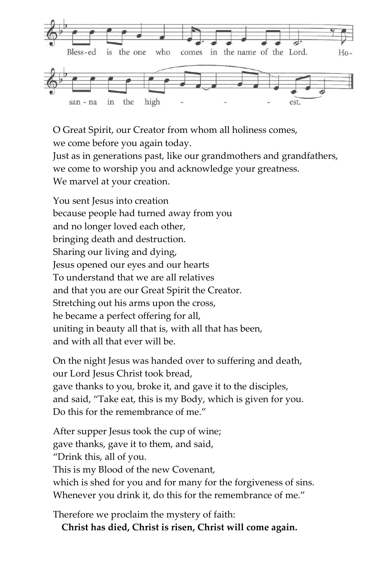

O Great Spirit, our Creator from whom all holiness comes, we come before you again today.

Just as in generations past, like our grandmothers and grandfathers, we come to worship you and acknowledge your greatness. We marvel at your creation.

You sent Jesus into creation because people had turned away from you and no longer loved each other, bringing death and destruction. Sharing our living and dying, Jesus opened our eyes and our hearts To understand that we are all relatives and that you are our Great Spirit the Creator. Stretching out his arms upon the cross, he became a perfect offering for all, uniting in beauty all that is, with all that has been, and with all that ever will be.

On the night Jesus was handed over to suffering and death, our Lord Jesus Christ took bread, gave thanks to you, broke it, and gave it to the disciples, and said, "Take eat, this is my Body, which is given for you. Do this for the remembrance of me."

After supper Jesus took the cup of wine; gave thanks, gave it to them, and said, "Drink this, all of you. This is my Blood of the new Covenant, which is shed for you and for many for the forgiveness of sins. Whenever you drink it, do this for the remembrance of me."

Therefore we proclaim the mystery of faith:

**Christ has died, Christ is risen, Christ will come again.**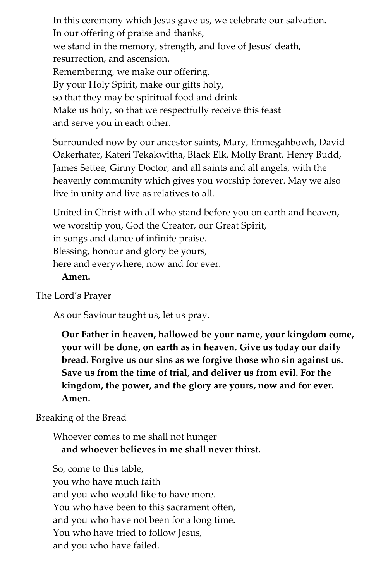In this ceremony which Jesus gave us, we celebrate our salvation. In our offering of praise and thanks, we stand in the memory, strength, and love of Jesus' death, resurrection, and ascension. Remembering, we make our offering. By your Holy Spirit, make our gifts holy, so that they may be spiritual food and drink. Make us holy, so that we respectfully receive this feast and serve you in each other.

Surrounded now by our ancestor saints, Mary, Enmegahbowh, David Oakerhater, Kateri Tekakwitha, Black Elk, Molly Brant, Henry Budd, James Settee, Ginny Doctor, and all saints and all angels, with the heavenly community which gives you worship forever. May we also live in unity and live as relatives to all.

United in Christ with all who stand before you on earth and heaven, we worship you, God the Creator, our Great Spirit, in songs and dance of infinite praise. Blessing, honour and glory be yours, here and everywhere, now and for ever. **Amen.**

## The Lord's Prayer

As our Saviour taught us, let us pray.

**Our Father in heaven, hallowed be your name, your kingdom come, your will be done, on earth as in heaven. Give us today our daily bread. Forgive us our sins as we forgive those who sin against us. Save us from the time of trial, and deliver us from evil. For the kingdom, the power, and the glory are yours, now and for ever. Amen.**

#### Breaking of the Bread

Whoever comes to me shall not hunger **and whoever believes in me shall never thirst.**

So, come to this table, you who have much faith and you who would like to have more. You who have been to this sacrament often, and you who have not been for a long time. You who have tried to follow Jesus, and you who have failed.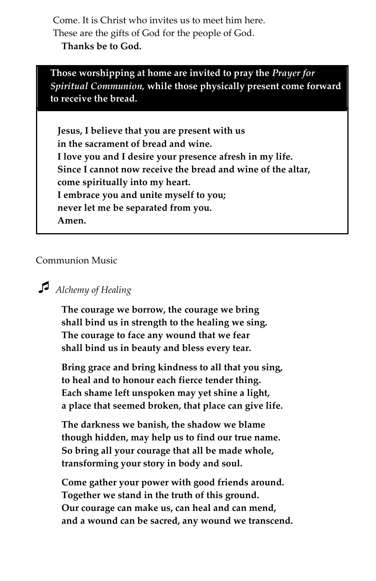Come. It is Christ who invites us to meet him here. These are the gifts of God for the people of God. **Thanks be to God.**

**Those worshipping at home are invited to pray the** *Prayer for Spiritual Communion,* **while those physically present come forward to receive the bread.**

**Jesus, I believe that you are present with us in the sacrament of bread and wine. I love you and I desire your presence afresh in my life. Since I cannot now receive the bread and wine of the altar, come spiritually into my heart. I embrace you and unite myself to you; never let me be separated from you. Amen.**

Communion Music

## *Alchemy of Healing*

**The courage we borrow, the courage we bring shall bind us in strength to the healing we sing. The courage to face any wound that we fear shall bind us in beauty and bless every tear.**

**Bring grace and bring kindness to all that you sing, to heal and to honour each fierce tender thing. Each shame left unspoken may yet shine a light, a place that seemed broken, that place can give life.**

**The darkness we banish, the shadow we blame though hidden, may help us to find our true name. So bring all your courage that all be made whole, transforming your story in body and soul.**

**Come gather your power with good friends around. Together we stand in the truth of this ground. Our courage can make us, can heal and can mend, and a wound can be sacred, any wound we transcend.**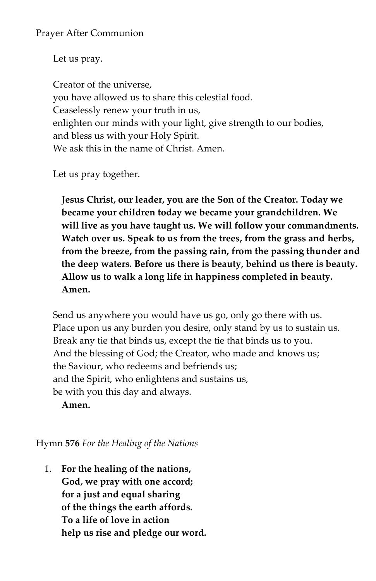Let us pray.

Creator of the universe, you have allowed us to share this celestial food. Ceaselessly renew your truth in us, enlighten our minds with your light, give strength to our bodies, and bless us with your Holy Spirit. We ask this in the name of Christ. Amen.

Let us pray together.

**Jesus Christ, our leader, you are the Son of the Creator. Today we became your children today we became your grandchildren. We will live as you have taught us. We will follow your commandments. Watch over us. Speak to us from the trees, from the grass and herbs, from the breeze, from the passing rain, from the passing thunder and the deep waters. Before us there is beauty, behind us there is beauty. Allow us to walk a long life in happiness completed in beauty. Amen.**

Send us anywhere you would have us go, only go there with us. Place upon us any burden you desire, only stand by us to sustain us. Break any tie that binds us, except the tie that binds us to you. And the blessing of God; the Creator, who made and knows us; the Saviour, who redeems and befriends us; and the Spirit, who enlightens and sustains us, be with you this day and always.

**Amen.**

Hymn **576** *For the Healing of the Nations*

1. **For the healing of the nations, God, we pray with one accord; for a just and equal sharing of the things the earth affords. To a life of love in action help us rise and pledge our word.**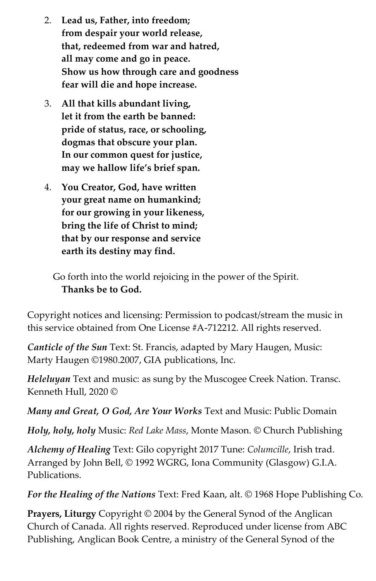- 2. **Lead us, Father, into freedom; from despair your world release, that, redeemed from war and hatred, all may come and go in peace. Show us how through care and goodness fear will die and hope increase.**
- 3. **All that kills abundant living, let it from the earth be banned: pride of status, race, or schooling, dogmas that obscure your plan. In our common quest for justice, may we hallow life's brief span.**
- 4. **You Creator, God, have written your great name on humankind; for our growing in your likeness, bring the life of Christ to mind; that by our response and service earth its destiny may find.**

Go forth into the world rejoicing in the power of the Spirit. **Thanks be to God.** 

Copyright notices and licensing: Permission to podcast/stream the music in this service obtained from One License #A-712212. All rights reserved.

*Canticle of the Sun* Text: St. Francis, adapted by Mary Haugen, Music: Marty Haugen ©1980.2007, GIA publications, Inc.

*Heleluyan* Text and music: as sung by the Muscogee Creek Nation. Transc. Kenneth Hull, 2020 ©

*Many and Great, O God, Are Your Works* Text and Music: Public Domain

*Holy, holy, holy* Music: *Red Lake Mass*, Monte Mason. © Church Publishing

*Alchemy of Healing* Text: Gilo copyright 2017 Tune: *Columcille*, Irish trad. Arranged by John Bell, © 1992 WGRG, Iona Community (Glasgow) G.I.A. Publications.

*For the Healing of the Nations* Text: Fred Kaan, alt. © 1968 Hope Publishing Co.

**Prayers, Liturgy** Copyright © 2004 by the General Synod of the Anglican Church of Canada. All rights reserved. Reproduced under license from ABC Publishing, Anglican Book Centre, a ministry of the General Synod of the